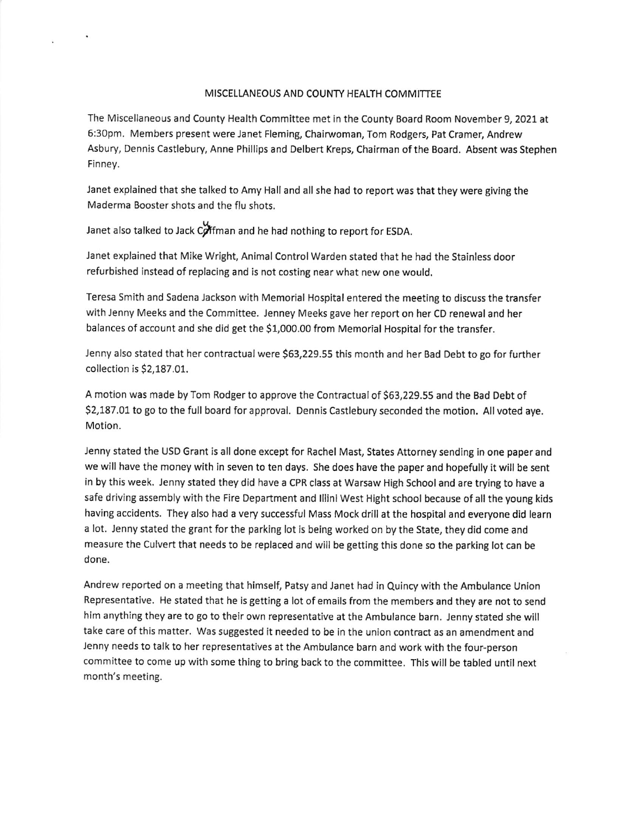## MISCELLANEOUS AND COUNTY HEALTH COMMITTEE

The Miscellaneous and County Health Committee met in the County Board Room November 9, 2021 at 6:30pm. Members present were Janet Fleming, Chairwoman, Tom Rodgers, Pat Cramer, Andrew Asbury, Dennis Castlebury, Anne Phillips and Delbert Kreps, Chairman ofthe Board. Absent was Stephen Finney.

Janet explained that she talked to Amy Hall and all she had to report was that they were glving the Maderma Booster shots and the flu shots.

tr Janet also talked to Jack Cpffman and he had nothing to report for ESDA.

Janet explained that Mike Wright, Animal ControlWarden stated that he had the Stainless door refurbished instead of replacing and is not costing near what new one would.

Teresa Smith and Sadena Jackson with Memorial Hospital entered the meeting to discuss the transfer with Jenny Meeks and the Committee. Jenney Meeks gave her report on her CD renewal and her balances of account and she did get the \$1,000.00 from Memorial Hospital for the transfer.

Jenny also stated that her contractual were \$63,229.55 this month and her Bad Debt to go for further collection is S2,187,01.

A motion was made by Tom Rodger to approve the Contractual of 563,229.55 and the Bad Debt of \$2,187.01 to go to the full board for approval. Dennis Castlebury seconded the motion. All voted aye. Motion.

Jenny stated the USD Grant is all done except for Rachel Mast, States Attorney sending in one paper and we will have the money with in seven to ten days. She does have the paper and hopefully it will be sent in by this week. Jenny stated they did have a CPR class at Warsaw High School and are trying to have <sup>a</sup> safe driving assembly with the Fire Department and lllini West Hight school because of all the young kids having accidents. They also had a very successful Mass Mock drill at the hospital and everyone did learn a lot. Jenny stated the grant for the parking lot is being worked on by the State, they did come and measure the Culvert that needs to be replaced and will be getting this done so the parking lot can be done.

Andrew reported on a meeting that himself, Patsy and Janet had in Quincy with the Ambulance Union Representative. He stated that he is getting a lot of emails from the members and they are not to send him anything they are to go to their own representative at the Ambulance barn. Jenny stated she will take care of this matter. Was suggested it needed to be in the union contract as an amendment and Jenny needs to talk to her representatives at the Ambulance barn and work with the four-person committee to come up with some thing to bring back to the committee. This will be tabled until next month's meeting.